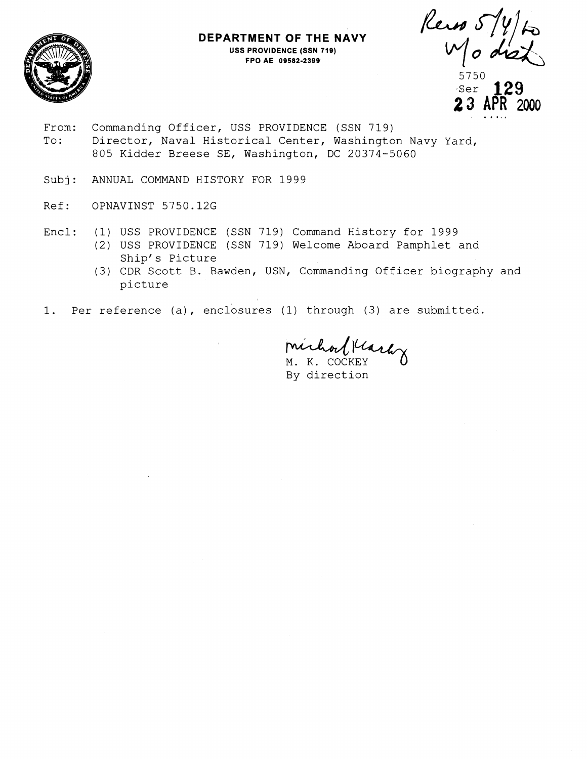

## **DEPARTMENT OF THE NAVY USS PROVIDENCE (SSN 719) FPO AE 09582-2399**

Rein 5/4)<br>Modia 5750 ser 129 **2 3 APR 2000** . **I I..** 

- From: Commanding Officer, USS PROVIDENCE (SSN 719) To: Director, Naval Historical Center, Washington Navy Yard, 805 Kidder Breese SE, Washington, DC 20374-5060
- Subj: ANNUAL COMMAND HISTORY FOR 1999
- Ref: OPNAVINST 5750.12G
- Encl: (1) USS PROVIDENCE (SSN 719) Command History for 1999
	- (2) USS PROVIDENCE (SSN 719) Welcome Aboard Pamphlet and Ship's Picture
	- (3) CDR Scott B. Bawden, USN, Commanding Officer biography and picture
- 1. Per reference (a), enclosures (1) through (3) are submitted.

Michael March

By direction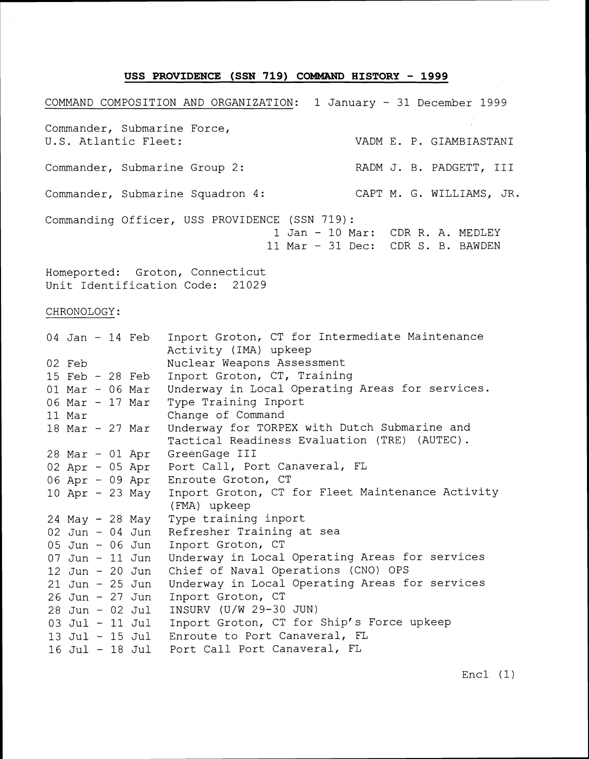## **USS PROVIDENCE (SSN 719) COMMAND HISTORY** - **<sup>1999</sup>**

COMMAND COMPOSITION AND ORGANIZATION: 1 January - 31 December 1999 Commander, Submarine Force, U.S. Atlantic Fleet: VADM E. P. GIAMBIASTANI Commander, Submarine Group 2: The RADM J. B. PADGETT, III Commander, Submarine Squadron 4: CAPT M. G. WILLIAMS, JR. Commanding Officer, USS PROVIDENCE (SSN 719) : 1 Jan - 10 Mar: CDR R. A. MEDLEY 11 Mar - 31 Dec: CDR S. B. BAWDEN

Homeported: Groton, Connecticut Unit Identification Code: 21029

CHRONOLOGY:

|                   |  | 04 Jan - 14 Feb     | Inport Groton, CT for Intermediate Maintenance<br>Activity (IMA) upkeep |
|-------------------|--|---------------------|-------------------------------------------------------------------------|
| 02 Feb            |  |                     | Nuclear Weapons Assessment                                              |
| $15$ Feb - 28 Feb |  |                     | Inport Groton, CT, Training                                             |
| $01$ Mar - 06 Mar |  |                     | Underway in Local Operating Areas for services.                         |
| 06 Mar - 17 Mar   |  |                     | Type Training Inport                                                    |
| 11 Mar            |  |                     | Change of Command                                                       |
| $18$ Mar - 27 Mar |  |                     | Underway for TORPEX with Dutch Submarine and                            |
|                   |  |                     | Tactical Readiness Evaluation (TRE) (AUTEC).                            |
|                   |  | 28 Mar - 01 Apr     | GreenGage III                                                           |
|                   |  | $02$ Apr - $05$ Apr | Port Call, Port Canaveral, FL                                           |
|                   |  | 06 Apr - 09 Apr     | Enroute Groton, CT                                                      |
|                   |  | 10 Apr - 23 May     | Inport Groton, CT for Fleet Maintenance Activity                        |
|                   |  |                     | (FMA) upkeep                                                            |
|                   |  | 24 May - 28 May     | Type training inport                                                    |
|                   |  | $02$ Jun - $04$ Jun | Refresher Training at sea                                               |
|                   |  | 05 Jun - 06 Jun     | Inport Groton, CT                                                       |
| $07$ Jun - 11 Jun |  |                     | Underway in Local Operating Areas for services                          |
| 12 Jun - 20 Jun   |  |                     | Chief of Naval Operations (CNO) OPS                                     |
| 21 Jun - 25 Jun   |  |                     | Underway in Local Operating Areas for services                          |
| 26 Jun - 27 Jun   |  |                     | Inport Groton, CT                                                       |
| $28$ Jun - 02 Jul |  |                     | INSURV (U/W 29-30 JUN)                                                  |
|                   |  | 03 Jul - 11 Jul     | Inport Groton, CT for Ship's Force upkeep                               |
|                   |  | $13$ Jul - $15$ Jul | Enroute to Port Canaveral, FL                                           |
|                   |  | 16 Jul - 18 Jul     | Port Call Port Canaveral, FL                                            |
|                   |  |                     |                                                                         |

Encl (1)